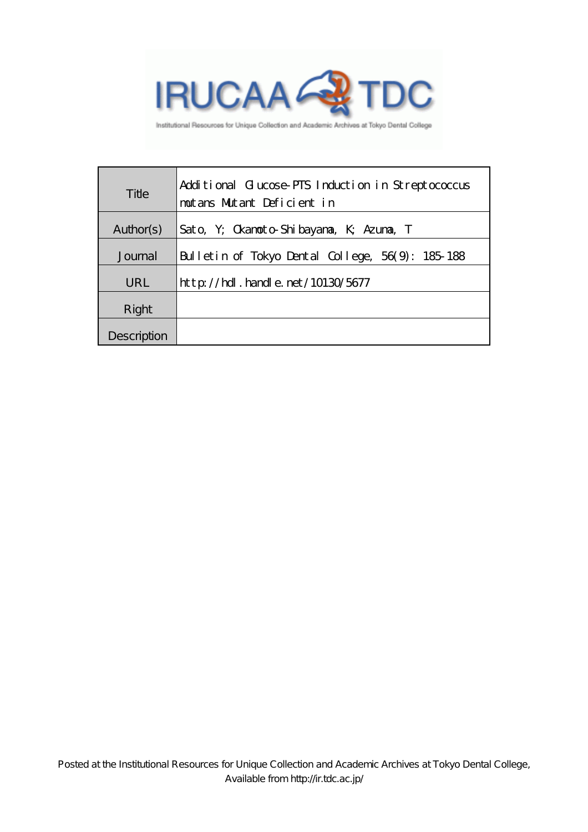

Institutional Resources for Unique Collection and Academic Archives at Tokyo Dental College

| Title       | Additional Glucose PTS Induction in Streptococcus<br>moutans Mutant Deficient in |  |  |
|-------------|----------------------------------------------------------------------------------|--|--|
| Author(s)   | Sato, Y; Okanoto Shibayana, K; Azuna, T                                          |  |  |
| Journal     | Bulletin of Tokyo Dental College, 56(9): 185-188                                 |  |  |
| URL         | $\frac{\text{http}}{\text{10130}}$ hd . handle. net / 10130/5677                 |  |  |
| Right       |                                                                                  |  |  |
| Description |                                                                                  |  |  |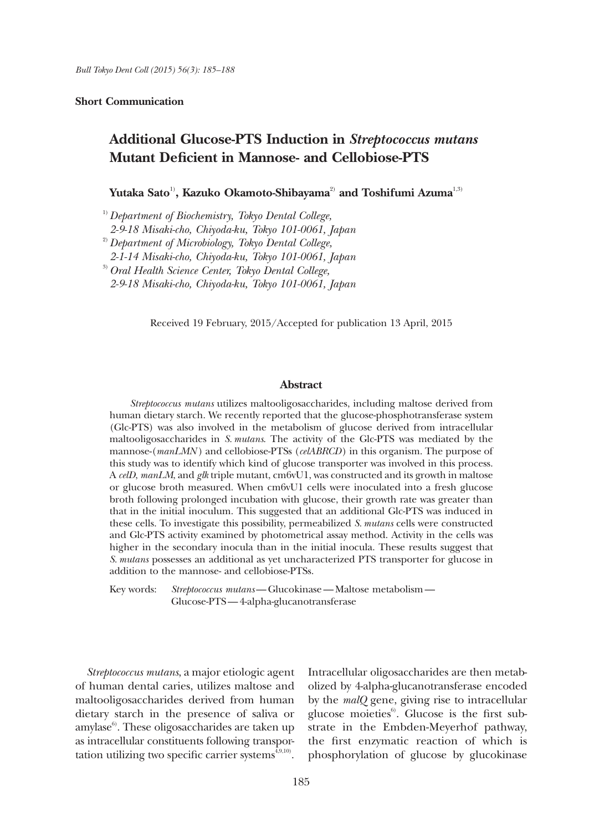## **Short Communication**

# **Additional Glucose-PTS Induction in** *Streptococcus mutans* **Mutant Deficient in Mannose- and Cellobiose-PTS**

**Yutaka Sato**1)**, Kazuko Okamoto-Shibayama**2) **and Toshifumi Azuma**1,3)

1)*Department of Biochemistry, Tokyo Dental College, 2-9-18 Misaki-cho, Chiyoda-ku, Tokyo 101-0061, Japan* 2)*Department of Microbiology, Tokyo Dental College, 2-1-14 Misaki-cho, Chiyoda-ku, Tokyo 101-0061, Japan* 3)*Oral Health Science Center, Tokyo Dental College, 2-9-18 Misaki-cho, Chiyoda-ku, Tokyo 101-0061, Japan*

Received 19 February, 2015/Accepted for publication 13 April, 2015

## **Abstract**

*Streptococcus mutans* utilizes maltooligosaccharides, including maltose derived from human dietary starch. We recently reported that the glucose-phosphotransferase system (Glc-PTS) was also involved in the metabolism of glucose derived from intracellular maltooligosaccharides in *S.mutans*. The activity of the Glc-PTS was mediated by the mannose-(*manLMN* ) and cellobiose-PTSs (*celABRCD*) in this organism. The purpose of this study was to identify which kind of glucose transporter was involved in this process. A *celD*, *manLM*, and *glk* triple mutant, cm6vU1, was constructed and its growth in maltose or glucose broth measured. When cm6vU1 cells were inoculated into a fresh glucose broth following prolonged incubation with glucose, their growth rate was greater than that in the initial inoculum. This suggested that an additional Glc-PTS was induced in these cells. To investigate this possibility, permeabilized *S. mutans* cells were constructed and Glc-PTS activity examined by photometrical assay method. Activity in the cells was higher in the secondary inocula than in the initial inocula. These results suggest that *S. mutans* possesses an additional as yet uncharacterized PTS transporter for glucose in addition to the mannose- and cellobiose-PTSs.

Key words: *Streptococcus mutans*—Glucokinase—Maltose metabolism— Glucose-PTS—4-alpha-glucanotransferase

*Streptococcus mutans*, a major etiologic agent of human dental caries, utilizes maltose and maltooligosaccharides derived from human dietary starch in the presence of saliva or amylase $6$ . These oligosaccharides are taken up as intracellular constituents following transportation utilizing two specific carrier systems $^{4,9,10}$ .

Intracellular oligosaccharides are then metabolized by 4-alpha-glucanotransferase encoded by the *malQ* gene, giving rise to intracellular glucose moieties $6$ . Glucose is the first substrate in the Embden-Meyerhof pathway, the first enzymatic reaction of which is phosphorylation of glucose by glucokinase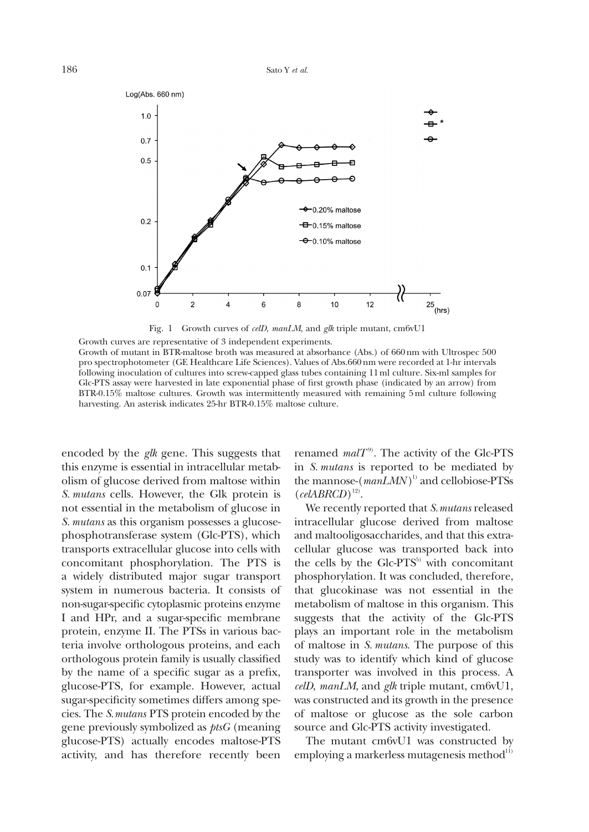

Fig. 1 Growth curves of *celD*, *manLM*, and *glk* triple mutant, cm6vU1

Growth curves are representative of 3 independent experiments. Growth of mutant in BTR-maltose broth was measured at absorbance (Abs.) of 660nm with Ultrospec 500 pro spectrophotometer (GE Healthcare Life Sciences). Values of Abs.660nm were recorded at 1-hr intervals following inoculation of cultures into screw-capped glass tubes containing 11ml culture. Six-ml samples for Glc-PTS assay were harvested in late exponential phase of first growth phase (indicated by an arrow) from BTR-0.15% maltose cultures. Growth was intermittently measured with remaining 5ml culture following harvesting. An asterisk indicates 25-hr BTR-0.15% maltose culture.

encoded by the *glk* gene. This suggests that this enzyme is essential in intracellular metabolism of glucose derived from maltose within *S. mutans* cells. However, the Glk protein is not essential in the metabolism of glucose in *S. mutans* as this organism possesses a glucosephosphotransferase system (Glc-PTS), which transports extracellular glucose into cells with concomitant phosphorylation. The PTS is a widely distributed major sugar transport system in numerous bacteria. It consists of non-sugar-specific cytoplasmic proteins enzyme I and HPr, and a sugar-specific membrane protein, enzyme II. The PTSs in various bacteria involve orthologous proteins, and each orthologous protein family is usually classified by the name of a specific sugar as a prefix, glucose-PTS, for example. However, actual sugar-specificity sometimes differs among species. The *S.mutans* PTS protein encoded by the gene previously symbolized as *ptsG* (meaning glucose-PTS) actually encodes maltose-PTS activity, and has therefore recently been

renamed  $malT<sup>9</sup>$ . The activity of the Glc-PTS in *S. mutans* is reported to be mediated by the mannose-( $manLMN$ <sup>1)</sup> and cellobiose-PTSs  $(celABRCD)^{12}$ .

We recently reported that *S.mutans* released intracellular glucose derived from maltose and maltooligosaccharides, and that this extracellular glucose was transported back into the cells by the  $Glc-PTS<sup>5</sup>$  with concomitant phosphorylation. It was concluded, therefore, that glucokinase was not essential in the metabolism of maltose in this organism. This suggests that the activity of the Glc-PTS plays an important role in the metabolism of maltose in *S. mutans*. The purpose of this study was to identify which kind of glucose transporter was involved in this process. A *celD*, *manLM*, and *glk* triple mutant, cm6vU1, was constructed and its growth in the presence of maltose or glucose as the sole carbon source and Glc-PTS activity investigated.

The mutant cm6vU1 was constructed by employing a markerless mutagenesis method $11$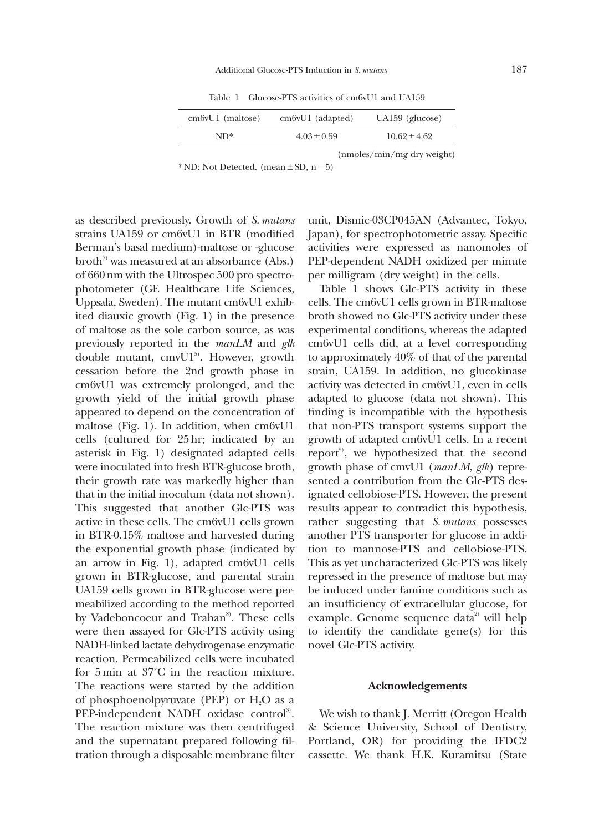Table 1 Glucose-PTS activities of cm6vU1 and UA159

| $cm6vU1$ (maltose) | $cm6vU1$ (adapted)           | $UA159$ (glucose) |  |
|--------------------|------------------------------|-------------------|--|
| $ND^*$             | $4.03 \pm 0.59$              | $10.62 + 4.62$    |  |
|                    | $(mmoles/min/mg$ dry weight) |                   |  |

\*ND: Not Detected. (mean $\pm$ SD, n=5)

as described previously. Growth of *S. mutans* strains UA159 or cm6vU1 in BTR (modified Berman's basal medium)-maltose or -glucose broth<sup>7</sup> was measured at an absorbance (Abs.) of 660 nm with the Ultrospec 500 pro spectrophotometer (GE Healthcare Life Sciences, Uppsala, Sweden). The mutant cm6vU1 exhibited diauxic growth (Fig. 1) in the presence of maltose as the sole carbon source, as was previously reported in the *manLM* and *glk* double mutant,  $cmvU1<sup>5</sup>$ . However, growth cessation before the 2nd growth phase in cm6vU1 was extremely prolonged, and the growth yield of the initial growth phase appeared to depend on the concentration of maltose (Fig. 1). In addition, when cm6vU1 cells (cultured for 25hr; indicated by an asterisk in Fig. 1) designated adapted cells were inoculated into fresh BTR-glucose broth, their growth rate was markedly higher than that in the initial inoculum (data not shown). This suggested that another Glc-PTS was active in these cells. The cm6vU1 cells grown in BTR-0.15% maltose and harvested during the exponential growth phase (indicated by an arrow in Fig. 1), adapted cm6vU1 cells grown in BTR-glucose, and parental strain UA159 cells grown in BTR-glucose were permeabilized according to the method reported by Vadeboncoeur and Trahan<sup>8</sup>. These cells were then assayed for Glc-PTS activity using NADH-linked lactate dehydrogenase enzymatic reaction. Permeabilized cells were incubated for 5 min at 37˚C in the reaction mixture. The reactions were started by the addition of phosphoenolpyruvate (PEP) or  $H_2O$  as a PEP-independent NADH oxidase control<sup>3)</sup>. The reaction mixture was then centrifuged and the supernatant prepared following filtration through a disposable membrane filter

unit, Dismic-03CP045AN (Advantec, Tokyo, Japan), for spectrophotometric assay. Specific activities were expressed as nanomoles of PEP-dependent NADH oxidized per minute per milligram (dry weight) in the cells.

Table 1 shows Glc-PTS activity in these cells. The cm6vU1 cells grown in BTR-maltose broth showed no Glc-PTS activity under these experimental conditions, whereas the adapted cm6vU1 cells did, at a level corresponding to approximately 40% of that of the parental strain, UA159. In addition, no glucokinase activity was detected in cm6vU1, even in cells adapted to glucose (data not shown). This finding is incompatible with the hypothesis that non-PTS transport systems support the growth of adapted cm6vU1 cells. In a recent report<sup>5)</sup>, we hypothesized that the second growth phase of cmvU1 (*manLM*, *glk*) represented a contribution from the Glc-PTS designated cellobiose-PTS. However, the present results appear to contradict this hypothesis, rather suggesting that *S. mutans* possesses another PTS transporter for glucose in addition to mannose-PTS and cellobiose-PTS. This as yet uncharacterized Glc-PTS was likely repressed in the presence of maltose but may be induced under famine conditions such as an insufficiency of extracellular glucose, for example. Genome sequence data<sup>2</sup> will help to identify the candidate gene(s) for this novel Glc-PTS activity.

### **Acknowledgements**

We wish to thank J. Merritt (Oregon Health & Science University, School of Dentistry, Portland, OR) for providing the IFDC2 cassette. We thank H.K. Kuramitsu (State